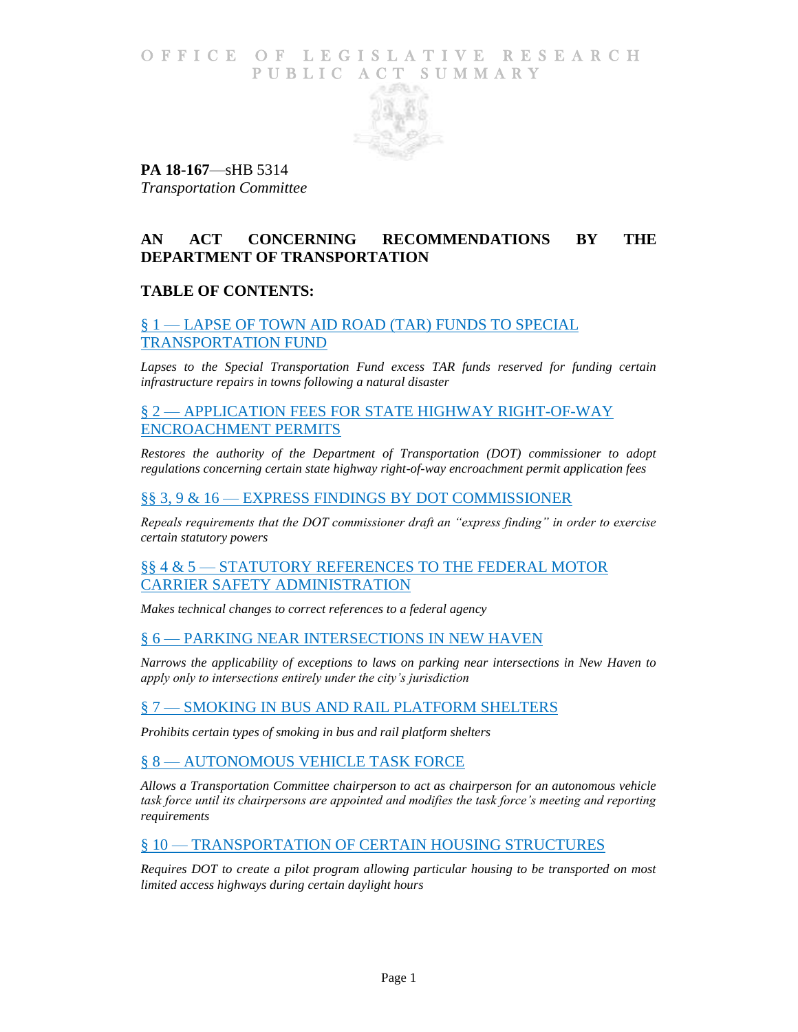### O F FICE OF LEGISLATIVE RESEARCH PUBLIC ACT SUMMARY



**PA 18-167**—sHB 5314 *Transportation Committee*

# **AN ACT CONCERNING RECOMMENDATIONS BY THE DEPARTMENT OF TRANSPORTATION**

# **TABLE OF CONTENTS:**

# § 1 — [LAPSE OF TOWN AID ROAD \(TAR\) FUNDS TO SPECIAL](#page-1-0)  [TRANSPORTATION FUND](#page-1-0)

Lapses to the Special Transportation Fund excess TAR funds reserved for funding certain *[infrastructure repairs in towns following a natural disaster](#page-1-1)*

# § 2 — APPLICATION FEES FOR [STATE HIGHWAY RIGHT-OF-WAY](#page-1-2)  [ENCROACHMENT PERMITS](#page-1-2)

*[Restores the authority of the Department of Transportation \(DOT\) commissioner to adopt](#page-1-3)  [regulations concerning certain state highway right-of-way encroachment permit application fees](#page-1-3)*

#### §§ 3, 9 & 16 — [EXPRESS FINDINGS BY DOT COMMISSIONER](#page-1-4)

*[Repeals requirements that the DOT commissioner draft an "express finding" in order to exercise](#page-1-5)  [certain statutory powers](#page-1-5)*

#### §§ 4 & 5 — [STATUTORY REFERENCES](#page-2-0) TO THE FEDERAL MOTOR [CARRIER SAFETY ADMINISTRATION](#page-2-0)

*[Makes technical changes to correct references to a federal agency](#page-2-1)*

# § 6 — [PARKING NEAR INTERSECTIONS IN NEW HAVEN](#page-2-2)

*[Narrows the applicability of exceptions to laws on parking near intersections in New Haven to](#page-2-3)  [apply only to intersections entirely under the city's jurisdiction](#page-2-3)*

# § 7 — [SMOKING IN BUS AND RAIL PLATFORM SHELTERS](#page-2-4)

*[Prohibits certain types of smoking in bus and rail platform shelters](#page-2-5)*

# § 8 — [AUTONOMOUS VEHICLE TASK FORCE](#page-3-0)

*[Allows a Transportation Committee chairperson to act as chairperson for an autonomous vehicle](#page-3-1)  [task force until its chairpersons are appointed and modifies the task force's meeting and reporting](#page-3-1)  [requirements](#page-3-1)*

#### § 10 - [TRANSPORTATION OF CERTAIN HOUSING STRUCTURES](#page-3-2)

*[Requires DOT to create a pilot program allowing particular housing to be transported on most](#page-3-3)  [limited access highways during certain daylight hours](#page-3-3)*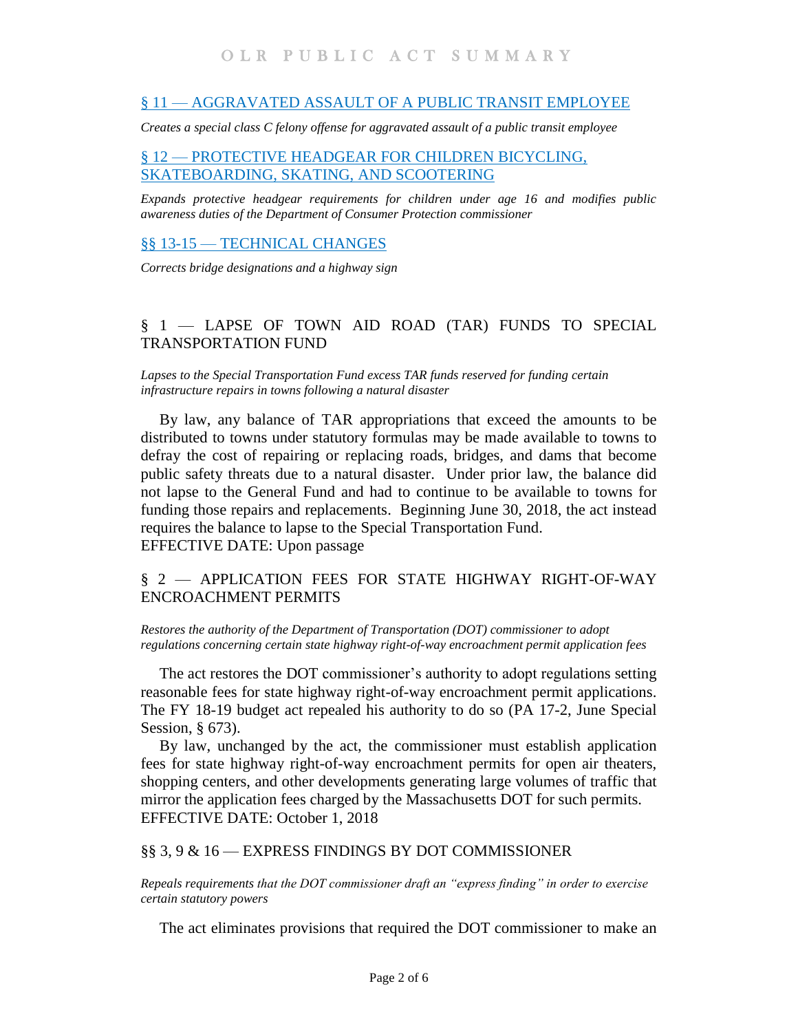#### § 11 — [AGGRAVATED ASSAULT OF A PUBLIC TRANSIT EMPLOYEE](#page-4-0)

*[Creates a special class C felony offense for aggravated assault of a public transit employee](#page-4-1)*

# § 12 — [PROTECTIVE HEADGEAR FOR CHILDREN BICYCLING,](#page-4-2)  [SKATEBOARDING, SKATING, AND SCOOTERING](#page-4-2)

*[Expands protective headgear requirements for children under age 16 and modifies public](#page-4-3)  [awareness duties of the Department of Consumer Protection](#page-4-3) commissioner*

### §§ 13-15 — [TECHNICAL CHANGES](#page-5-0)

*[Corrects bridge designations and a highway sign](#page-5-1)*

# <span id="page-1-0"></span>§ 1 — LAPSE OF TOWN AID ROAD (TAR) FUNDS TO SPECIAL TRANSPORTATION FUND

<span id="page-1-1"></span>*Lapses to the Special Transportation Fund excess TAR funds reserved for funding certain infrastructure repairs in towns following a natural disaster* 

By law, any balance of TAR appropriations that exceed the amounts to be distributed to towns under statutory formulas may be made available to towns to defray the cost of repairing or replacing roads, bridges, and dams that become public safety threats due to a natural disaster. Under prior law, the balance did not lapse to the General Fund and had to continue to be available to towns for funding those repairs and replacements. Beginning June 30, 2018, the act instead requires the balance to lapse to the Special Transportation Fund. EFFECTIVE DATE: Upon passage

# <span id="page-1-2"></span>§ 2 — APPLICATION FEES FOR STATE HIGHWAY RIGHT-OF-WAY ENCROACHMENT PERMITS

<span id="page-1-3"></span>*Restores the authority of the Department of Transportation (DOT) commissioner to adopt regulations concerning certain state highway right-of-way encroachment permit application fees*

The act restores the DOT commissioner's authority to adopt regulations setting reasonable fees for state highway right-of-way encroachment permit applications. The FY 18-19 budget act repealed his authority to do so (PA 17-2, June Special Session, § 673).

By law, unchanged by the act, the commissioner must establish application fees for state highway right-of-way encroachment permits for open air theaters, shopping centers, and other developments generating large volumes of traffic that mirror the application fees charged by the Massachusetts DOT for such permits. EFFECTIVE DATE: October 1, 2018

#### <span id="page-1-4"></span>§§ 3, 9 & 16 — EXPRESS FINDINGS BY DOT COMMISSIONER

<span id="page-1-5"></span>*Repeals requirements that the DOT commissioner draft an "express finding" in order to exercise certain statutory powers*

The act eliminates provisions that required the DOT commissioner to make an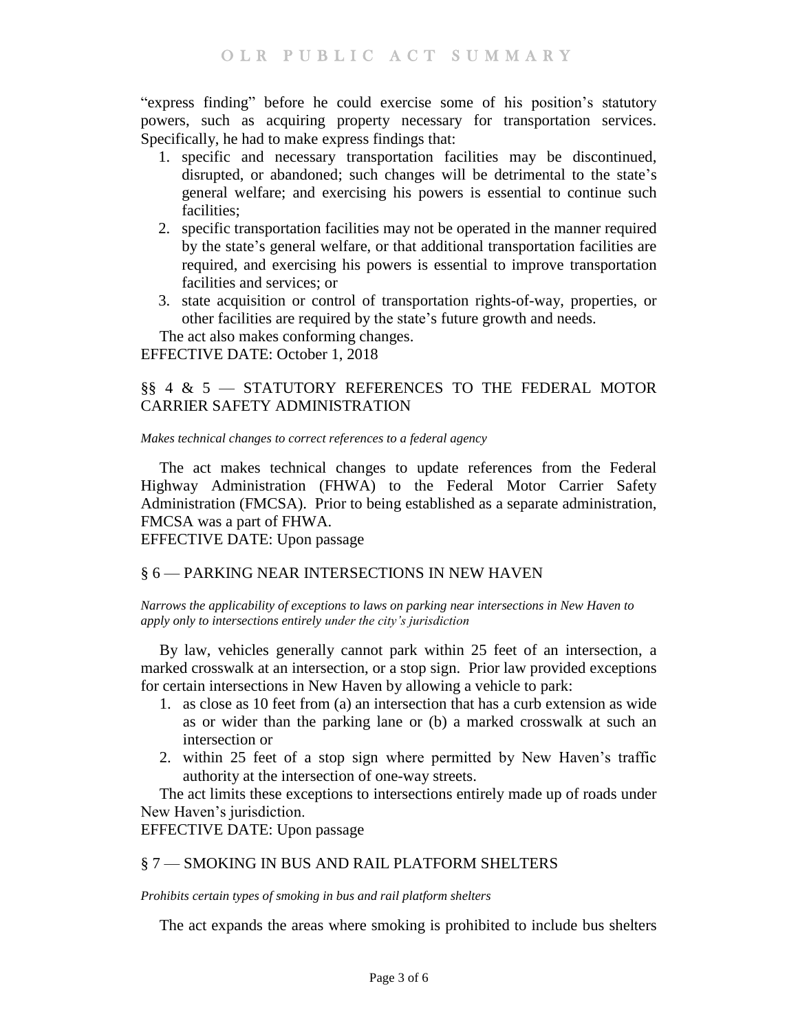"express finding" before he could exercise some of his position's statutory powers, such as acquiring property necessary for transportation services. Specifically, he had to make express findings that:

- 1. specific and necessary transportation facilities may be discontinued, disrupted, or abandoned; such changes will be detrimental to the state's general welfare; and exercising his powers is essential to continue such facilities;
- 2. specific transportation facilities may not be operated in the manner required by the state's general welfare, or that additional transportation facilities are required, and exercising his powers is essential to improve transportation facilities and services; or
- 3. state acquisition or control of transportation rights-of-way, properties, or other facilities are required by the state's future growth and needs.

The act also makes conforming changes.

EFFECTIVE DATE: October 1, 2018

# <span id="page-2-0"></span>§§ 4 & 5 — STATUTORY REFERENCES TO THE FEDERAL MOTOR CARRIER SAFETY ADMINISTRATION

<span id="page-2-1"></span>*Makes technical changes to correct references to a federal agency*

The act makes technical changes to update references from the Federal Highway Administration (FHWA) to the Federal Motor Carrier Safety Administration (FMCSA). Prior to being established as a separate administration, FMCSA was a part of FHWA.

EFFECTIVE DATE: Upon passage

# <span id="page-2-2"></span>§ 6 — PARKING NEAR INTERSECTIONS IN NEW HAVEN

<span id="page-2-3"></span>*Narrows the applicability of exceptions to laws on parking near intersections in New Haven to apply only to intersections entirely under the city's jurisdiction* 

By law, vehicles generally cannot park within 25 feet of an intersection, a marked crosswalk at an intersection, or a stop sign. Prior law provided exceptions for certain intersections in New Haven by allowing a vehicle to park:

- 1. as close as 10 feet from (a) an intersection that has a curb extension as wide as or wider than the parking lane or (b) a marked crosswalk at such an intersection or
- 2. within 25 feet of a stop sign where permitted by New Haven's traffic authority at the intersection of one-way streets.

The act limits these exceptions to intersections entirely made up of roads under New Haven's jurisdiction.

EFFECTIVE DATE: Upon passage

# <span id="page-2-4"></span>§ 7 — SMOKING IN BUS AND RAIL PLATFORM SHELTERS

<span id="page-2-5"></span>*Prohibits certain types of smoking in bus and rail platform shelters*

The act expands the areas where smoking is prohibited to include bus shelters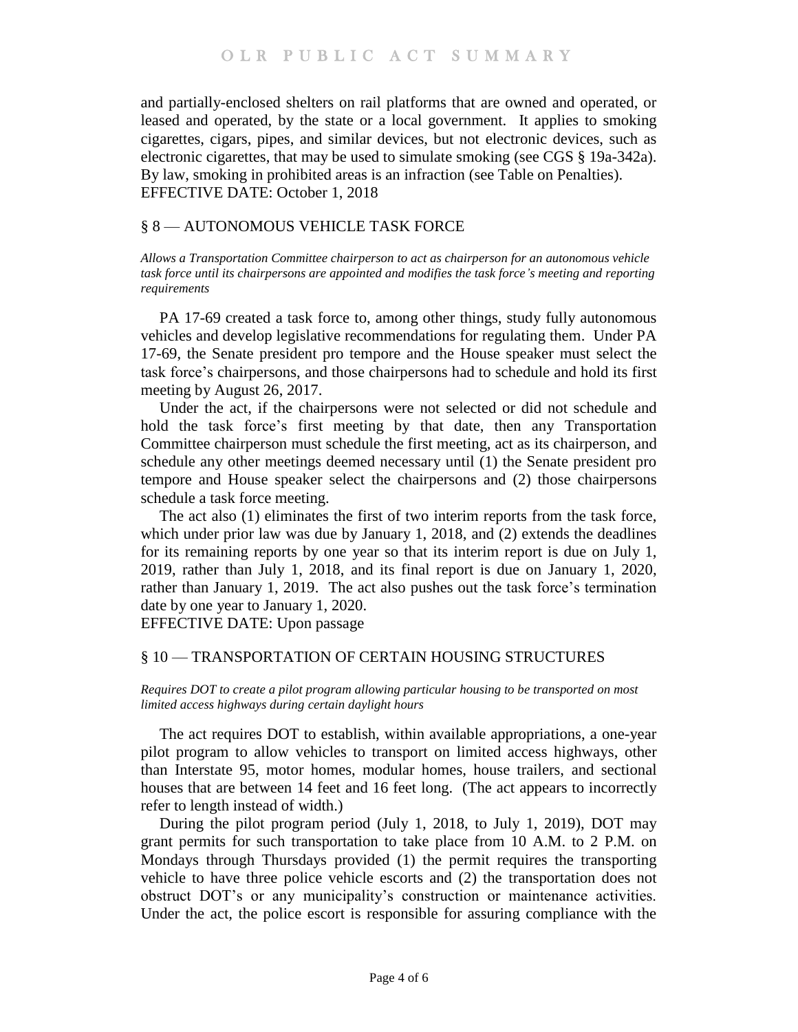and partially-enclosed shelters on rail platforms that are owned and operated, or leased and operated, by the state or a local government. It applies to smoking cigarettes, cigars, pipes, and similar devices, but not electronic devices, such as electronic cigarettes, that may be used to simulate smoking (see CGS § 19a-342a). By law, smoking in prohibited areas is an infraction (see Table on Penalties). EFFECTIVE DATE: October 1, 2018

### <span id="page-3-0"></span>§ 8 — AUTONOMOUS VEHICLE TASK FORCE

<span id="page-3-1"></span>*Allows a Transportation Committee chairperson to act as chairperson for an autonomous vehicle task force until its chairpersons are appointed and modifies the task force's meeting and reporting requirements*

PA 17-69 created a task force to, among other things, study fully autonomous vehicles and develop legislative recommendations for regulating them. Under PA 17-69, the Senate president pro tempore and the House speaker must select the task force's chairpersons, and those chairpersons had to schedule and hold its first meeting by August 26, 2017.

Under the act, if the chairpersons were not selected or did not schedule and hold the task force's first meeting by that date, then any Transportation Committee chairperson must schedule the first meeting, act as its chairperson, and schedule any other meetings deemed necessary until (1) the Senate president pro tempore and House speaker select the chairpersons and (2) those chairpersons schedule a task force meeting.

The act also (1) eliminates the first of two interim reports from the task force, which under prior law was due by January 1, 2018, and (2) extends the deadlines for its remaining reports by one year so that its interim report is due on July 1, 2019, rather than July 1, 2018, and its final report is due on January 1, 2020, rather than January 1, 2019. The act also pushes out the task force's termination date by one year to January 1, 2020.

EFFECTIVE DATE: Upon passage

#### <span id="page-3-2"></span>§ 10 — TRANSPORTATION OF CERTAIN HOUSING STRUCTURES

<span id="page-3-3"></span>*Requires DOT to create a pilot program allowing particular housing to be transported on most limited access highways during certain daylight hours*

The act requires DOT to establish, within available appropriations, a one-year pilot program to allow vehicles to transport on limited access highways, other than Interstate 95, motor homes, modular homes, house trailers, and sectional houses that are between 14 feet and 16 feet long. (The act appears to incorrectly refer to length instead of width.)

During the pilot program period (July 1, 2018, to July 1, 2019), DOT may grant permits for such transportation to take place from 10 A.M. to 2 P.M. on Mondays through Thursdays provided (1) the permit requires the transporting vehicle to have three police vehicle escorts and (2) the transportation does not obstruct DOT's or any municipality's construction or maintenance activities. Under the act, the police escort is responsible for assuring compliance with the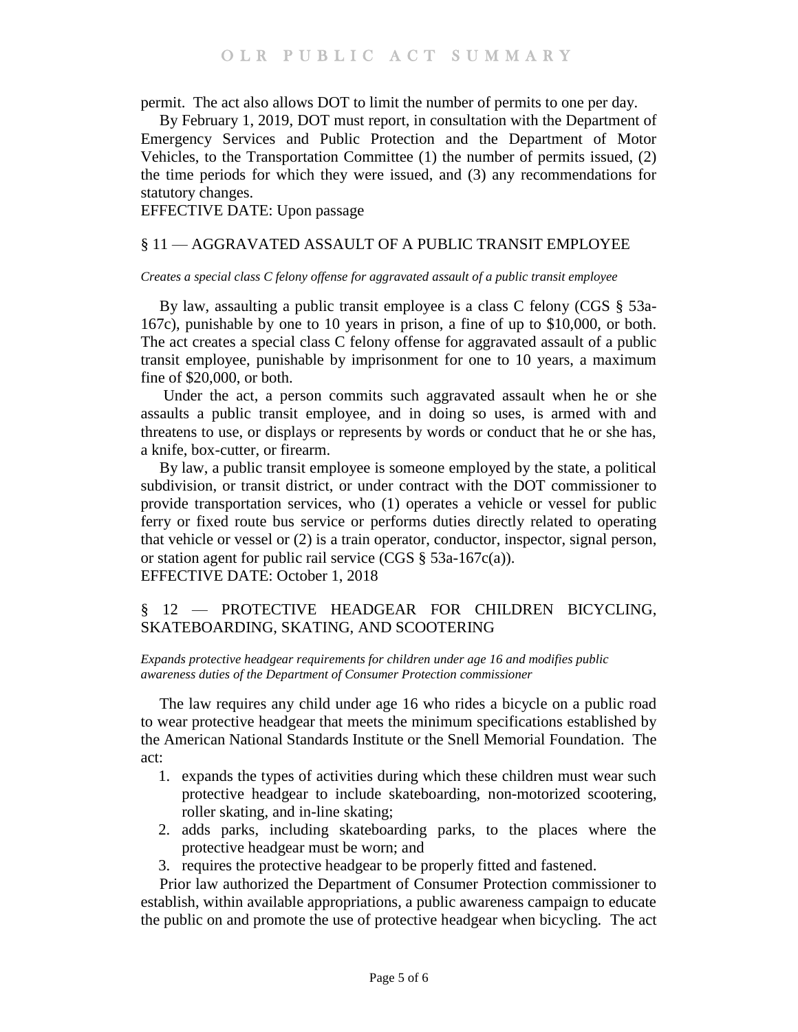permit. The act also allows DOT to limit the number of permits to one per day.

By February 1, 2019, DOT must report, in consultation with the Department of Emergency Services and Public Protection and the Department of Motor Vehicles, to the Transportation Committee (1) the number of permits issued, (2) the time periods for which they were issued, and (3) any recommendations for statutory changes.

EFFECTIVE DATE: Upon passage

### <span id="page-4-0"></span>§ 11 — AGGRAVATED ASSAULT OF A PUBLIC TRANSIT EMPLOYEE

#### <span id="page-4-1"></span>*Creates a special class C felony offense for aggravated assault of a public transit employee*

By law, assaulting a public transit employee is a class C felony (CGS § 53a-167c), punishable by one to 10 years in prison, a fine of up to \$10,000, or both. The act creates a special class C felony offense for aggravated assault of a public transit employee, punishable by imprisonment for one to 10 years, a maximum fine of \$20,000, or both.

Under the act, a person commits such aggravated assault when he or she assaults a public transit employee, and in doing so uses, is armed with and threatens to use, or displays or represents by words or conduct that he or she has, a knife, box-cutter, or firearm.

By law, a public transit employee is someone employed by the state, a political subdivision, or transit district, or under contract with the DOT commissioner to provide transportation services, who (1) operates a vehicle or vessel for public ferry or fixed route bus service or performs duties directly related to operating that vehicle or vessel or (2) is a train operator, conductor, inspector, signal person, or station agent for public rail service (CGS § 53a-167c(a)). EFFECTIVE DATE: October 1, 2018

# <span id="page-4-2"></span>§ 12 — PROTECTIVE HEADGEAR FOR CHILDREN BICYCLING, SKATEBOARDING, SKATING, AND SCOOTERING

<span id="page-4-3"></span>*Expands protective headgear requirements for children under age 16 and modifies public awareness duties of the Department of Consumer Protection commissioner*

The law requires any child under age 16 who rides a bicycle on a public road to wear protective headgear that meets the minimum specifications established by the American National Standards Institute or the Snell Memorial Foundation. The act:

- 1. expands the types of activities during which these children must wear such protective headgear to include skateboarding, non-motorized scootering, roller skating, and in-line skating;
- 2. adds parks, including skateboarding parks, to the places where the protective headgear must be worn; and
- 3. requires the protective headgear to be properly fitted and fastened.

Prior law authorized the Department of Consumer Protection commissioner to establish, within available appropriations, a public awareness campaign to educate the public on and promote the use of protective headgear when bicycling. The act